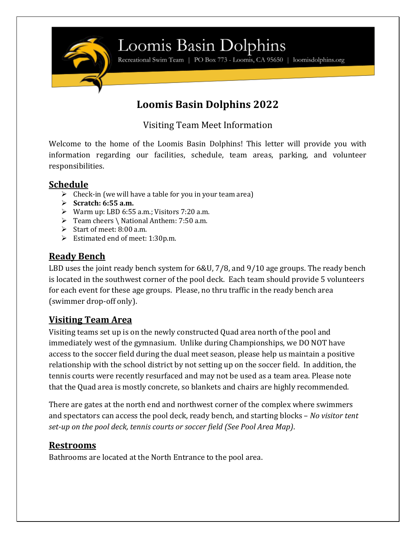

### Loomis Basin Dolphins

Recreational Swim Team | PO Box 773 - Loomis, CA 95650 | loomisdolphins.org

### **Loomis Basin Dolphins 2022**

Visiting Team Meet Information

Welcome to the home of the Loomis Basin Dolphins! This letter will provide you with information regarding our facilities, schedule, team areas, parking, and volunteer responsibilities.

#### **Schedule**

- $\triangleright$  Check-in (we will have a table for you in your team area)
- ➢ **Scratch: 6:55 a.m.**
- ➢ Warm up: LBD 6:55 a.m.; Visitors 7:20 a.m.
- ➢ Team cheers \ National Anthem: 7:50 a.m.
- $\triangleright$  Start of meet: 8:00 a.m.
- ➢ Estimated end of meet: 1:30p.m.

#### **Ready Bench**

LBD uses the joint ready bench system for 6&U, 7/8, and 9/10 age groups. The ready bench is located in the southwest corner of the pool deck. Each team should provide 5 volunteers for each event for these age groups. Please, no thru traffic in the ready bench area (swimmer drop-off only).

### **Visiting Team Area**

Visiting teams set up is on the newly constructed Quad area north of the pool and immediately west of the gymnasium. Unlike during Championships, we DO NOT have access to the soccer field during the dual meet season, please help us maintain a positive relationship with the school district by not setting up on the soccer field. In addition, the tennis courts were recently resurfaced and may not be used as a team area. Please note that the Quad area is mostly concrete, so blankets and chairs are highly recommended.

There are gates at the north end and northwest corner of the complex where swimmers and spectators can access the pool deck, ready bench, and starting blocks – *No visitor tent set-up on the pool deck, tennis courts or soccer field (See Pool Area Map)*.

#### **Restrooms**

Bathrooms are located at the North Entrance to the pool area.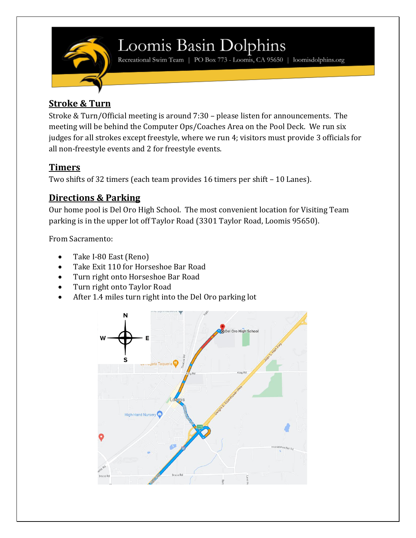

### Loomis Basin Dolphins

Recreational Swim Team | PO Box 773 - Loomis, CA 95650 | loomisdolphins.org

### **Stroke & Turn**

Stroke & Turn/Official meeting is around 7:30 – please listen for announcements. The meeting will be behind the Computer Ops/Coaches Area on the Pool Deck. We run six judges for all strokes except freestyle, where we run 4; visitors must provide 3 officials for all non-freestyle events and 2 for freestyle events.

### **Timers**

Two shifts of 32 timers (each team provides 16 timers per shift – 10 Lanes).

### **Directions & Parking**

Our home pool is Del Oro High School. The most convenient location for Visiting Team parking is in the upper lot off Taylor Road (3301 Taylor Road, Loomis 95650).

From Sacramento:

- Take I-80 East (Reno)
- Take Exit 110 for Horseshoe Bar Road
- Turn right onto Horseshoe Bar Road
- Turn right onto Taylor Road
- After 1.4 miles turn right into the Del Oro parking lot

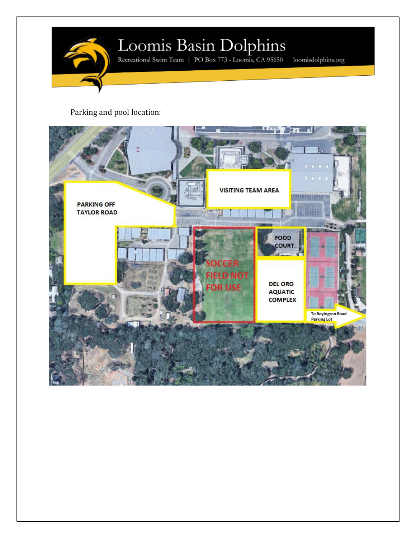

# $\label{eq:subdual} \underset{\text{Receational Swim Team}\; \mid\; \text{PO Box 773 - Loomis, CA 95650}\; \mid\; \text{loomisdolphins.org}}{\text{Loc}}$

Parking and pool location: